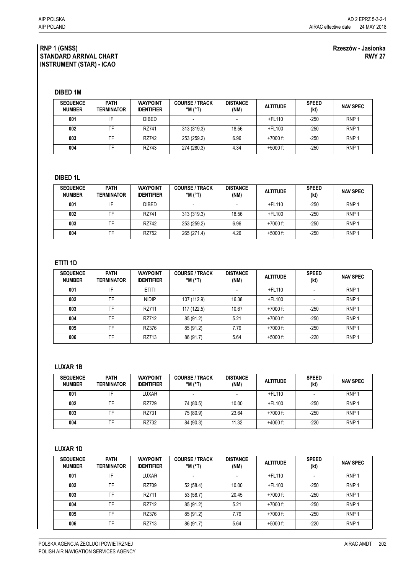#### **RNP 1 (GNSS) STANDARD ARRIVAL CHART INSTRUMENT (STAR) - ICAO**

### **Rzeszów - Jasionka RWY 27**

**DIBED 1M**

| <b>SEQUENCE</b><br><b>NUMBER</b> | <b>PATH</b><br>TERMINATOR | <b>WAYPOINT</b><br><b>IDENTIFIER</b> | <b>COURSE / TRACK</b><br>$^{\circ}$ M ( $^{\circ}$ T) | <b>DISTANCE</b><br>(NM) | <b>ALTITUDE</b> | <b>SPEED</b><br>(kt) | <b>NAV SPEC</b>  |
|----------------------------------|---------------------------|--------------------------------------|-------------------------------------------------------|-------------------------|-----------------|----------------------|------------------|
| 001                              | IF                        | <b>DIBED</b>                         | $\overline{\phantom{0}}$                              |                         | +FL110          | $-250$               | RNP <sub>1</sub> |
| 002                              | TF                        | RZ741                                | 313 (319.3)                                           | 18.56                   | +FL100          | $-250$               | RNP <sub>1</sub> |
| 003                              | TF                        | RZ742                                | 253 (259.2)                                           | 6.96                    | $+7000$ ft      | $-250$               | RNP <sub>1</sub> |
| 004                              | TF                        | RZ743                                | 274 (280.3)                                           | 4.34                    | $+5000$ ft      | $-250$               | RNP <sub>1</sub> |

### **DIBED 1L**

| <b>SEQUENCE</b><br><b>NUMBER</b> | <b>PATH</b><br>TERMINATOR | <b>WAYPOINT</b><br><b>IDENTIFIER</b> | <b>COURSE / TRACK</b><br>$^{\circ}$ M $^{\circ}$ T) | <b>DISTANCE</b><br>(NM) | <b>ALTITUDE</b> | <b>SPEED</b><br>(kt) | <b>NAV SPEC</b>  |
|----------------------------------|---------------------------|--------------------------------------|-----------------------------------------------------|-------------------------|-----------------|----------------------|------------------|
| 001                              | IF                        | <b>DIBED</b>                         |                                                     |                         | $+$ FL110       | $-250$               | RNP <sub>1</sub> |
| 002                              | TF                        | RZ741                                | 313 (319.3)                                         | 18.56                   | +FL100          | $-250$               | RNP <sub>1</sub> |
| 003                              | TF                        | RZ742                                | 253 (259.2)                                         | 6.96                    | $+7000$ ft      | -250                 | RNP <sup>1</sup> |
| 004                              | TF                        | RZ752                                | 265 (271.4)                                         | 4.26                    | $+5000$ ft      | $-250$               | RNP <sup>1</sup> |

## **ETITI 1D**

| <b>SEQUENCE</b><br><b>NUMBER</b> | <b>PATH</b><br>TERMINATOR | <b>WAYPOINT</b><br><b>IDENTIFIER</b> | <b>COURSE / TRACK</b><br>$^{\circ}$ M ( $^{\circ}$ T) | <b>DISTANCE</b><br>(NM) | <b>ALTITUDE</b> | <b>SPEED</b><br>(kt) | <b>NAV SPEC</b>  |
|----------------------------------|---------------------------|--------------------------------------|-------------------------------------------------------|-------------------------|-----------------|----------------------|------------------|
| 001                              | IF                        | <b>ETITI</b>                         |                                                       |                         | +FL110          |                      | RNP <sub>1</sub> |
| 002                              | TF                        | <b>NIDIP</b>                         | 107 (112.9)                                           | 16.38                   | $+$ FL100       |                      | RNP <sub>1</sub> |
| 003                              | <b>TF</b>                 | RZ711                                | 117 (122.5)                                           | 10.67                   | $+7000$ ft      | $-250$               | RNP <sub>1</sub> |
| 004                              | TF                        | RZ712                                | 85 (91.2)                                             | 5.21                    | $+7000$ ft      | $-250$               | RNP <sub>1</sub> |
| 005                              | TF                        | RZ376                                | 85 (91.2)                                             | 7.79                    | $+7000$ ft      | $-250$               | RNP <sub>1</sub> |
| 006                              | <b>TF</b>                 | RZ713                                | 86 (91.7)                                             | 5.64                    | $+5000$ ft      | $-220$               | RNP <sub>1</sub> |

### **LUXAR 1B**

| <b>SEQUENCE</b><br><b>NUMBER</b> | <b>PATH</b><br>TERMINATOR | <b>WAYPOINT</b><br><b>IDENTIFIER</b> | <b>COURSE / TRACK</b><br>$^{\circ}$ M $^{\circ}$ T) | <b>DISTANCE</b><br>(NM) | <b>ALTITUDE</b> | <b>SPEED</b><br>(kt) | <b>NAV SPEC</b>  |
|----------------------------------|---------------------------|--------------------------------------|-----------------------------------------------------|-------------------------|-----------------|----------------------|------------------|
| 001                              | IF                        | LUXAR                                |                                                     |                         | $+$ FL110       |                      | RNP <sub>1</sub> |
| 002                              | TF                        | RZ729                                | 74 (80.5)                                           | 10.00                   | $+$ FL100       | -250                 | RNP <sub>1</sub> |
| 003                              | TF                        | RZ731                                | 75 (80.9)                                           | 23.64                   | $+7000$ ft      | $-250$               | RNP <sub>1</sub> |
| 004                              | TF                        | RZ732                                | 84 (90.3)                                           | 11.32                   | $+4000$ ft      | $-220$               | RNP <sub>1</sub> |

# **LUXAR 1D**

| <b>SEQUENCE</b><br><b>NUMBER</b> | <b>PATH</b><br>TERMINATOR | <b>WAYPOINT</b><br><b>IDENTIFIER</b> | <b>COURSE / TRACK</b><br>$^{\circ}$ M ( $^{\circ}$ T) | <b>DISTANCE</b><br>(NM) | <b>ALTITUDE</b> | <b>SPEED</b><br>(kt) | <b>NAV SPEC</b>  |
|----------------------------------|---------------------------|--------------------------------------|-------------------------------------------------------|-------------------------|-----------------|----------------------|------------------|
| 001                              | IF                        | <b>LUXAR</b>                         | $\overline{\phantom{a}}$                              |                         | $+$ FL110       |                      | RNP <sub>1</sub> |
| 002                              | TF                        | RZ709                                | 52 (58.4)                                             | 10.00                   | $+$ FL100       | $-250$               | RNP <sub>1</sub> |
| 003                              | TF                        | RZ711                                | 53 (58.7)                                             | 20.45                   | +7000 ft        | $-250$               | RNP <sub>1</sub> |
| 004                              | TF                        | RZ712                                | 85 (91.2)                                             | 5.21                    | $+7000$ ft      | $-250$               | RNP <sub>1</sub> |
| 005                              | TF                        | RZ376                                | 85 (91.2)                                             | 7.79                    | +7000 ft        | $-250$               | RNP <sub>1</sub> |
| 006                              | TF                        | RZ713                                | 86 (91.7)                                             | 5.64                    | $+5000$ ft      | $-220$               | RNP <sub>1</sub> |